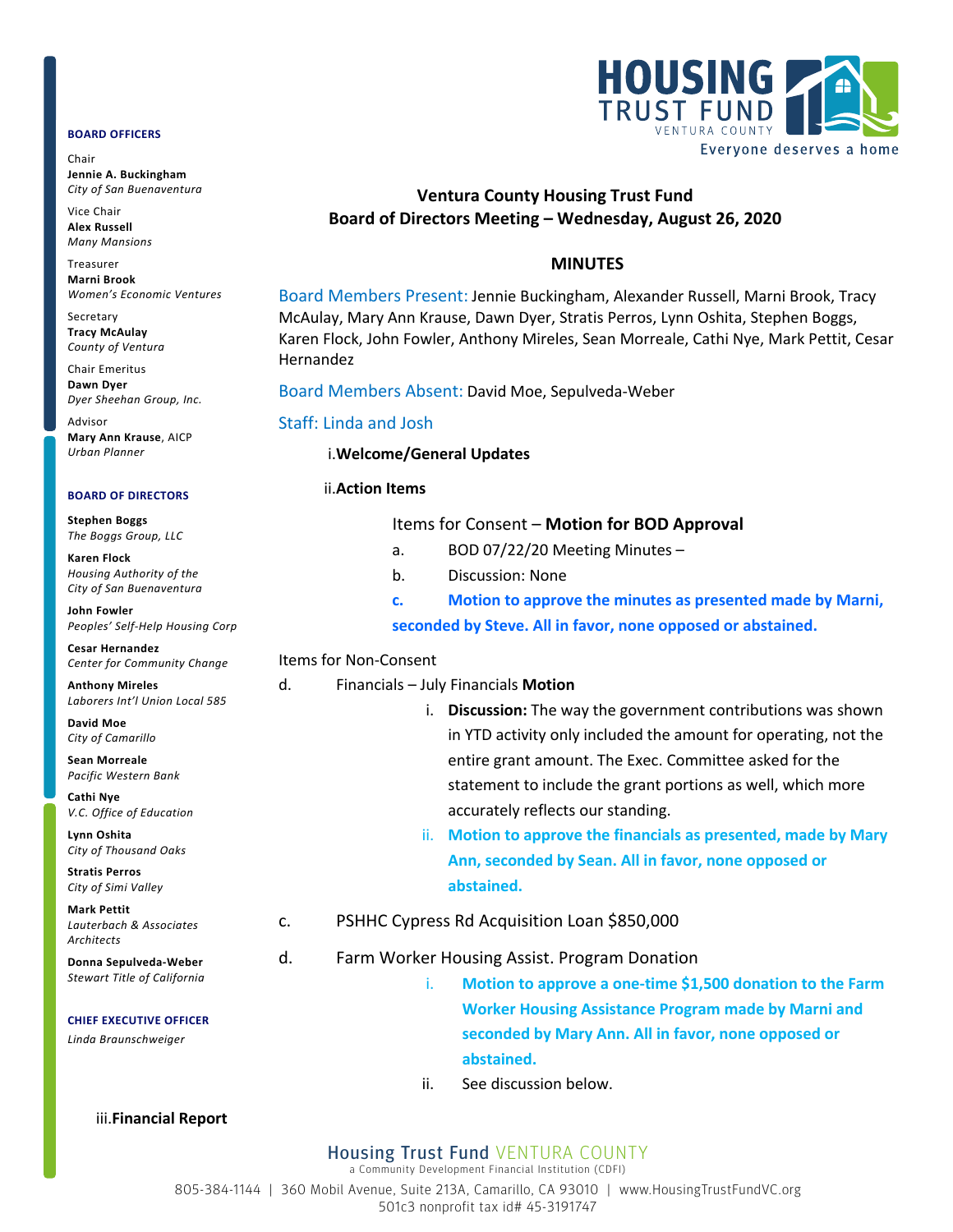#### **BOARD OFFICERS**

Chair **Jennie A. Buckingham** *City of San Buenaventura*

Vice Chair **Alex Russell** *Many Mansions*

Treasurer **Marni Brook** *Women's Economic Ventures*

Secretary **Tracy McAulay** *County of Ventura*

Chair Emeritus **Dawn Dyer** *Dyer Sheehan Group, Inc.*

Advisor **Mary Ann Krause**, AICP *Urban Planner*

#### **BOARD OF DIRECTORS**

**Stephen Boggs** *The Boggs Group, LLC* 

**Karen Flock** *Housing Authority of the City of San Buenaventura*

**John Fowler** *Peoples' Self-Help Housing Corp*

**Cesar Hernandez** *Center for Community Change*

**Anthony Mireles** *Laborers Int'l Union Local 585*

**David Moe** *City of Camarillo*

**Sean Morreale** *Pacific Western Bank*

**Cathi Nye** *V.C. Office of Education*

**Lynn Oshita** *City of Thousand Oaks*

**Stratis Perros** *City of Simi Valley*

**Mark Pettit** *Lauterbach & Associates Architects*

**Donna Sepulveda-Weber** *Stewart Title of California*

**CHIEF EXECUTIVE OFFICER**

*Linda Braunschweiger*



# **Ventura County Housing Trust Fund Board of Directors Meeting – Wednesday, August 26, 2020**

### **MINUTES**

Board Members Present: Jennie Buckingham, Alexander Russell, Marni Brook, Tracy McAulay, Mary Ann Krause, Dawn Dyer, Stratis Perros, Lynn Oshita, Stephen Boggs, Karen Flock, John Fowler, Anthony Mireles, Sean Morreale, Cathi Nye, Mark Pettit, Cesar Hernandez

Board Members Absent: David Moe, Sepulveda-Weber

### Staff: Linda and Josh

#### i.**Welcome/General Updates**

### ii.**Action Items**

|  | Items for Consent - Motion for BOD Approval |  |  |
|--|---------------------------------------------|--|--|
|--|---------------------------------------------|--|--|

- a. BOD 07/22/20 Meeting Minutes –
- b. Discussion: None

**c. Motion to approve the minutes as presented made by Marni, seconded by Steve. All in favor, none opposed or abstained.**

### Items for Non-Consent

### d. Financials – July Financials **Motion**

- i. **Discussion:** The way the government contributions was shown in YTD activity only included the amount for operating, not the entire grant amount. The Exec. Committee asked for the statement to include the grant portions as well, which more accurately reflects our standing.
- ii. **Motion to approve the financials as presented, made by Mary Ann, seconded by Sean. All in favor, none opposed or abstained.**
- c. PSHHC Cypress Rd Acquisition Loan \$850,000

## d. Farm Worker Housing Assist. Program Donation

- i. **Motion to approve a one-time \$1,500 donation to the Farm Worker Housing Assistance Program made by Marni and seconded by Mary Ann. All in favor, none opposed or abstained.**
- ii. See discussion below.

#### iii.**Financial Report**

## Housing Trust Fund VENTURA COUNTY

a Community Development Financial Institution (CDFI)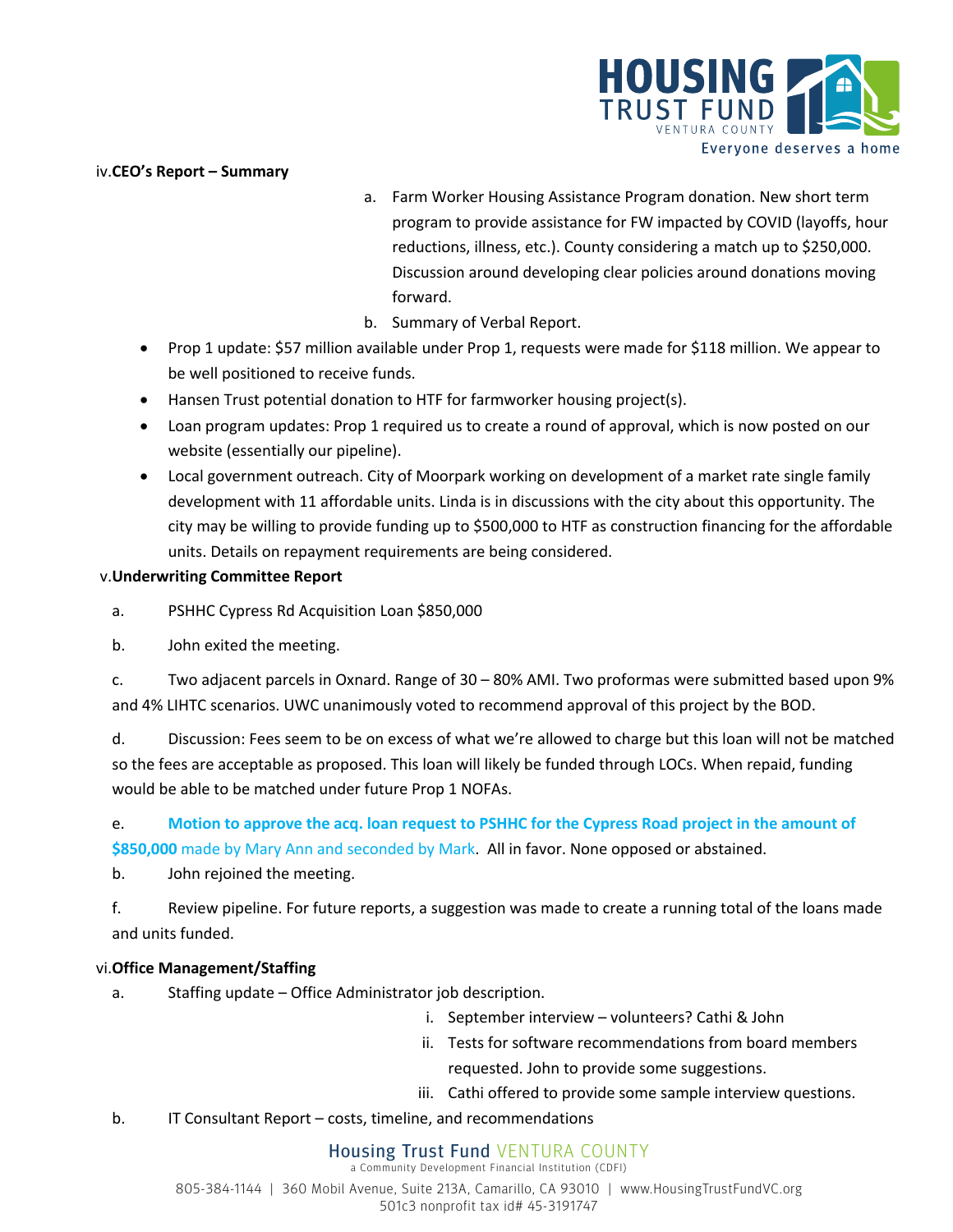

## iv.**CEO's Report – Summary**

- a. Farm Worker Housing Assistance Program donation. New short term program to provide assistance for FW impacted by COVID (layoffs, hour reductions, illness, etc.). County considering a match up to \$250,000. Discussion around developing clear policies around donations moving forward.
- b. Summary of Verbal Report.
- Prop 1 update: \$57 million available under Prop 1, requests were made for \$118 million. We appear to be well positioned to receive funds.
- Hansen Trust potential donation to HTF for farmworker housing project(s).
- Loan program updates: Prop 1 required us to create a round of approval, which is now posted on our website (essentially our pipeline).
- Local government outreach. City of Moorpark working on development of a market rate single family development with 11 affordable units. Linda is in discussions with the city about this opportunity. The city may be willing to provide funding up to \$500,000 to HTF as construction financing for the affordable units. Details on repayment requirements are being considered.

## v.**Underwriting Committee Report**

a. PSHHC Cypress Rd Acquisition Loan \$850,000

b. John exited the meeting.

c. Two adjacent parcels in Oxnard. Range of 30 – 80% AMI. Two proformas were submitted based upon 9% and 4% LIHTC scenarios. UWC unanimously voted to recommend approval of this project by the BOD.

d. Discussion: Fees seem to be on excess of what we're allowed to charge but this loan will not be matched so the fees are acceptable as proposed. This loan will likely be funded through LOCs. When repaid, funding would be able to be matched under future Prop 1 NOFAs.

e. **Motion to approve the acq. loan request to PSHHC for the Cypress Road project in the amount of \$850,000** made by Mary Ann and seconded by Mark. All in favor. None opposed or abstained.

b. John rejoined the meeting.

f. Review pipeline. For future reports, a suggestion was made to create a running total of the loans made and units funded.

## vi.**Office Management/Staffing**

- a. Staffing update Office Administrator job description.
	- i. September interview volunteers? Cathi & John
	- ii. Tests for software recommendations from board members requested. John to provide some suggestions.
	- iii. Cathi offered to provide some sample interview questions.
- b. IT Consultant Report costs, timeline, and recommendations

# Housing Trust Fund VENTURA COUNTY

a Community Development Financial Institution (CDFI) 805-384-1144 | 360 Mobil Avenue, Suite 213A, Camarillo, CA 93010 | www.HousingTrustFundVC.org 501c3 nonprofit tax id# 45-3191747